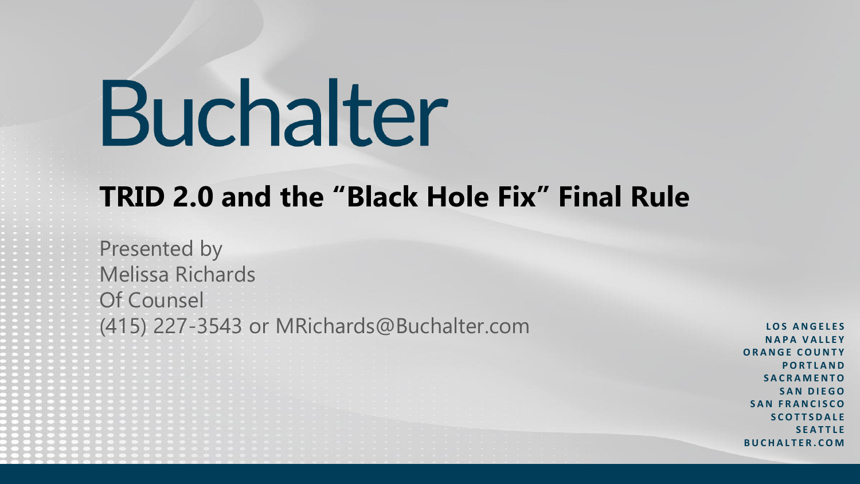## **TRID 2.0 and the "Black Hole Fix" Final Rule**

Presented by Melissa Richards Of Counsel (415) 227-3543 or MRichards@Buchalter.com **LOS ANGELES** 

**N A P A V A L L E Y O R A N G E C O U N T Y P O R T L A N D S A C R A M E N T O S A N D I E G O S A N F R A N C I S C O S C O T T S D A L E S E A T T L E B U C H A L T E R . C O M**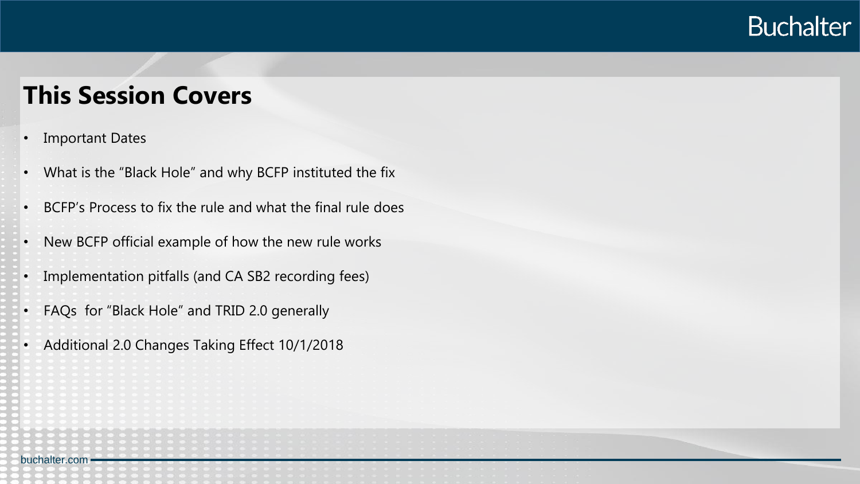#### **This Session Covers**

**Important Dates** 

- What is the "Black Hole" and why BCFP instituted the fix
	- BCFP's Process to fix the rule and what the final rule does
- New BCFP official example of how the new rule works
- Implementation pitfalls (and CA SB2 recording fees)
- FAQs for "Black Hole" and TRID 2.0 generally
- Additional 2.0 Changes Taking Effect 10/1/2018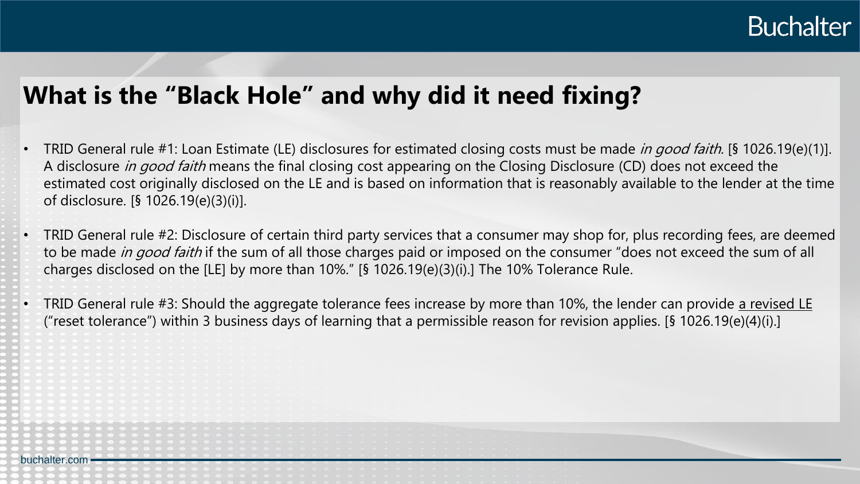#### **What is the "Black Hole" and why did it need fixing?**

- TRID General rule #1: Loan Estimate (LE) disclosures for estimated closing costs must be made *in good faith*. [§ 1026.19(e)(1)]. A disclosure in good faith means the final closing cost appearing on the Closing Disclosure (CD) does not exceed the estimated cost originally disclosed on the LE and is based on information that is reasonably available to the lender at the time of disclosure. [§ 1026.19(e)(3)(i)].
- TRID General rule #2: Disclosure of certain third party services that a consumer may shop for, plus recording fees, are deemed to be made in good faith if the sum of all those charges paid or imposed on the consumer "does not exceed the sum of all charges disclosed on the [LE] by more than 10%." [§ 1026.19(e)(3)(i).] The 10% Tolerance Rule.
- TRID General rule #3: Should the aggregate tolerance fees increase by more than 10%, the lender can provide a revised LE ("reset tolerance") within 3 business days of learning that a permissible reason for revision applies. [§ 1026.19(e)(4)(i).]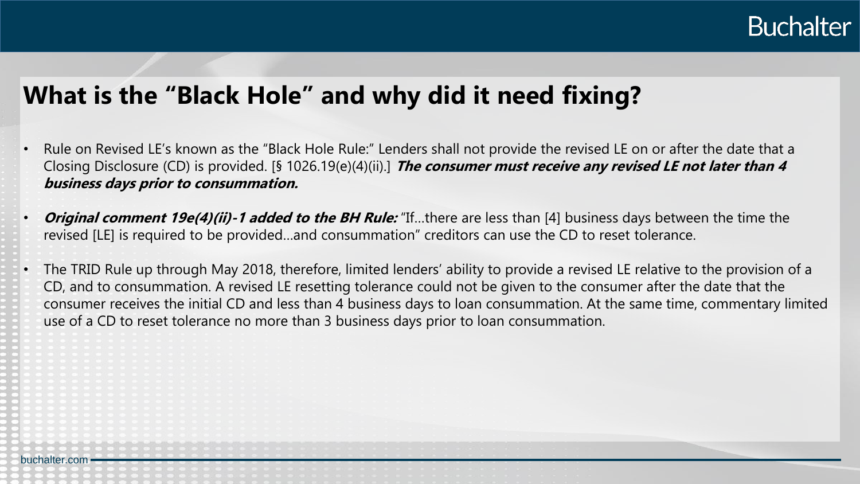

#### **What is the "Black Hole" and why did it need fixing?**

- Rule on Revised LE's known as the "Black Hole Rule:" Lenders shall not provide the revised LE on or after the date that a Closing Disclosure (CD) is provided. [§ 1026.19(e)(4)(ii).] **The consumer must receive any revised LE not later than 4 business days prior to consummation.**
- **Original comment 19e(4)(ii)-1 added to the BH Rule:** "If…there are less than [4] business days between the time the revised [LE] is required to be provided…and consummation" creditors can use the CD to reset tolerance.
- The TRID Rule up through May 2018, therefore, limited lenders' ability to provide a revised LE relative to the provision of a CD, and to consummation. A revised LE resetting tolerance could not be given to the consumer after the date that the consumer receives the initial CD and less than 4 business days to loan consummation. At the same time, commentary limited use of a CD to reset tolerance no more than 3 business days prior to loan consummation.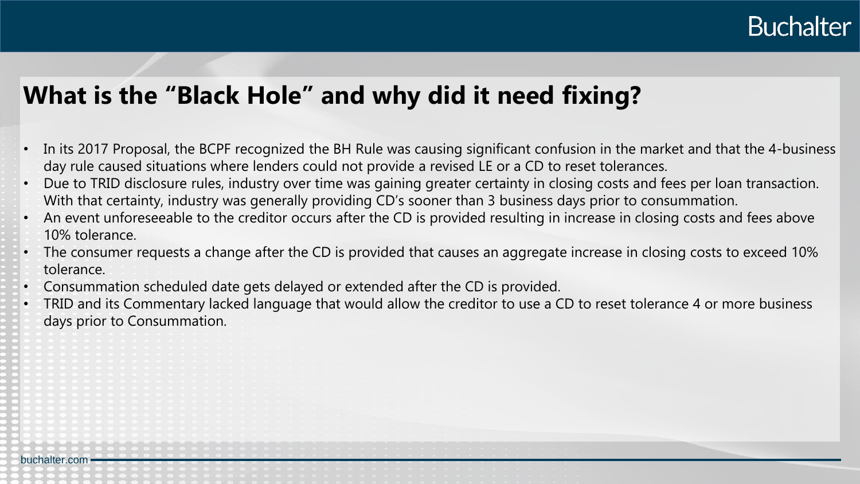#### **What is the "Black Hole" and why did it need fixing?**

- In its 2017 Proposal, the BCPF recognized the BH Rule was causing significant confusion in the market and that the 4-business day rule caused situations where lenders could not provide a revised LE or a CD to reset tolerances.
- Due to TRID disclosure rules, industry over time was gaining greater certainty in closing costs and fees per loan transaction. With that certainty, industry was generally providing CD's sooner than 3 business days prior to consummation.
- An event unforeseeable to the creditor occurs after the CD is provided resulting in increase in closing costs and fees above 10% tolerance.
- The consumer requests a change after the CD is provided that causes an aggregate increase in closing costs to exceed 10% tolerance.
- Consummation scheduled date gets delayed or extended after the CD is provided.
- TRID and its Commentary lacked language that would allow the creditor to use a CD to reset tolerance 4 or more business days prior to Consummation.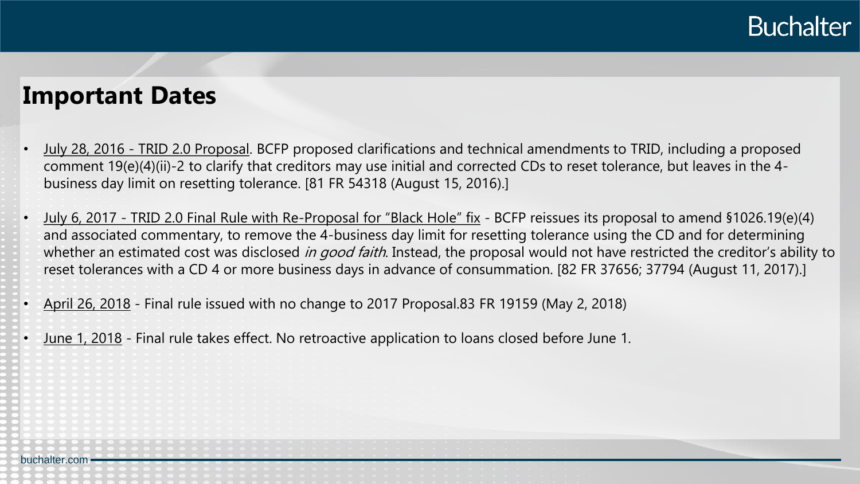#### **Important Dates**

- July 28, 2016 TRID 2.0 Proposal. BCFP proposed clarifications and technical amendments to TRID, including a proposed comment 19(e)(4)(ii)-2 to clarify that creditors may use initial and corrected CDs to reset tolerance, but leaves in the 4 business day limit on resetting tolerance. [81 FR 54318 (August 15, 2016).]
- July 6, 2017 TRID 2.0 Final Rule with Re-Proposal for "Black Hole" fix BCFP reissues its proposal to amend §1026.19(e)(4) and associated commentary, to remove the 4-business day limit for resetting tolerance using the CD and for determining whether an estimated cost was disclosed in good faith. Instead, the proposal would not have restricted the creditor's ability to reset tolerances with a CD 4 or more business days in advance of consummation. [82 FR 37656; 37794 (August 11, 2017).]
- April 26, 2018 Final rule issued with no change to 2017 Proposal.83 FR 19159 (May 2, 2018)
- June 1, 2018 Final rule takes effect. No retroactive application to loans closed before June 1.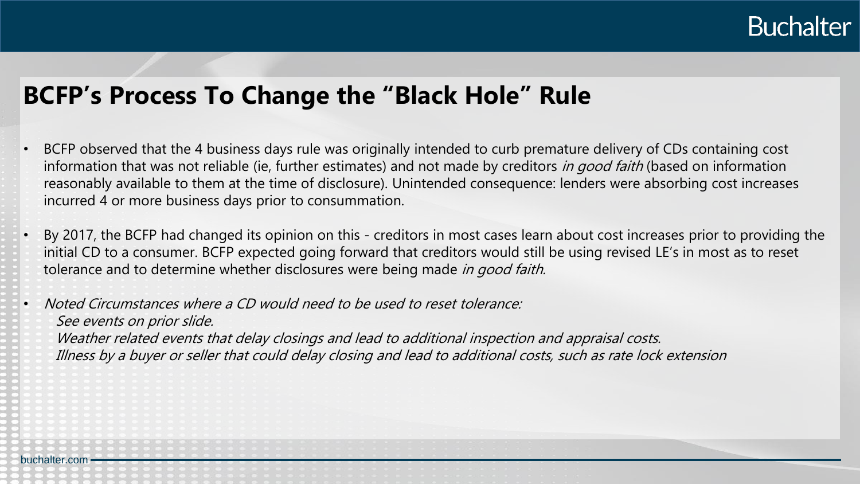#### **BCFP's Process To Change the "Black Hole" Rule**

- BCFP observed that the 4 business days rule was originally intended to curb premature delivery of CDs containing cost information that was not reliable (ie, further estimates) and not made by creditors in good faith (based on information reasonably available to them at the time of disclosure). Unintended consequence: lenders were absorbing cost increases incurred 4 or more business days prior to consummation.
- By 2017, the BCFP had changed its opinion on this creditors in most cases learn about cost increases prior to providing the initial CD to a consumer. BCFP expected going forward that creditors would still be using revised LE's in most as to reset tolerance and to determine whether disclosures were being made in good faith.

• Noted Circumstances where a CD would need to be used to reset tolerance: See events on prior slide.

Weather related events that delay closings and lead to additional inspection and appraisal costs. Illness by a buyer or seller that could delay closing and lead to additional costs, such as rate lock extension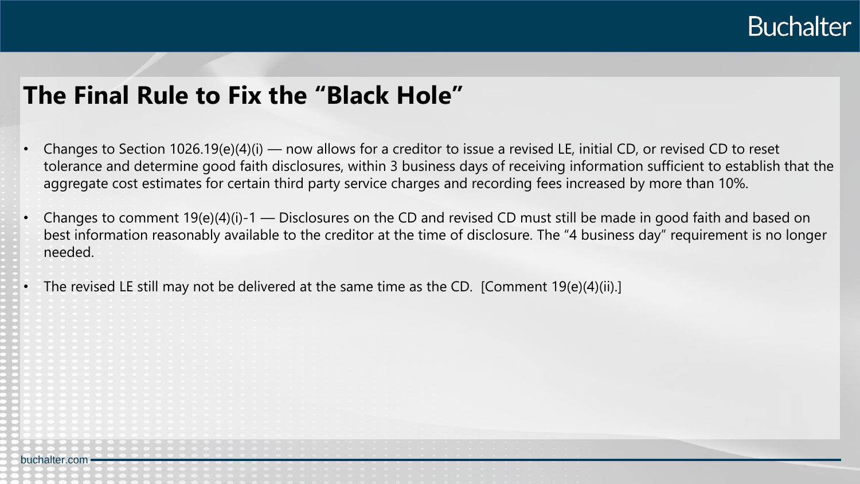

#### **The Final Rule to Fix the "Black Hole"**

- Changes to Section  $1026.19(e)(4)(i)$  now allows for a creditor to issue a revised LE, initial CD, or revised CD to reset tolerance and determine good faith disclosures, within 3 business days of receiving information sufficient to establish that the aggregate cost estimates for certain third party service charges and recording fees increased by more than 10%.
- Changes to comment  $19(e)(4)(i)-1$  Disclosures on the CD and revised CD must still be made in good faith and based on best information reasonably available to the creditor at the time of disclosure. The "4 business day" requirement is no longer needed.
- The revised LE still may not be delivered at the same time as the CD. [Comment 19(e)(4)(ii).]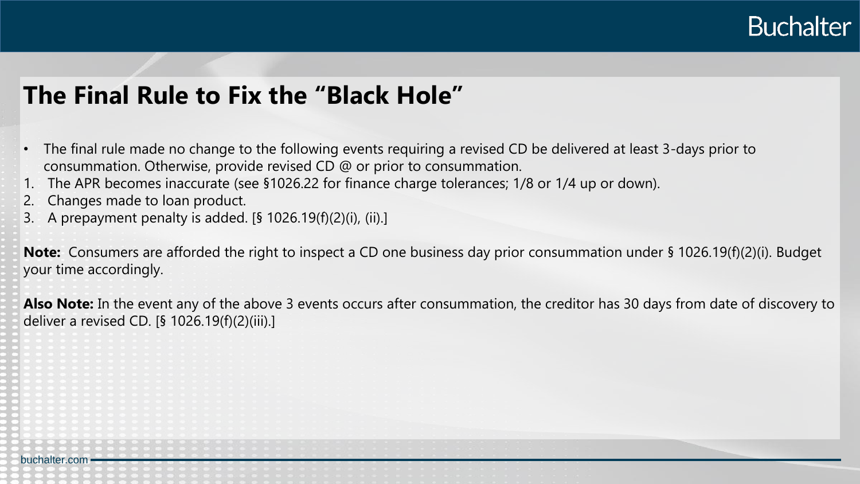

#### **The Final Rule to Fix the "Black Hole"**

- The final rule made no change to the following events requiring a revised CD be delivered at least 3-days prior to consummation. Otherwise, provide revised CD @ or prior to consummation.
- The APR becomes inaccurate (see §1026.22 for finance charge tolerances; 1/8 or 1/4 up or down).
- 2. Changes made to loan product.
- 3. A prepayment penalty is added. [§ 1026.19(f)(2)(i), (ii).]

**Note:** Consumers are afforded the right to inspect a CD one business day prior consummation under § 1026.19(f)(2)(i). Budget your time accordingly.

**Also Note:** In the event any of the above 3 events occurs after consummation, the creditor has 30 days from date of discovery to deliver a revised CD. [§ 1026.19(f)(2)(iii).]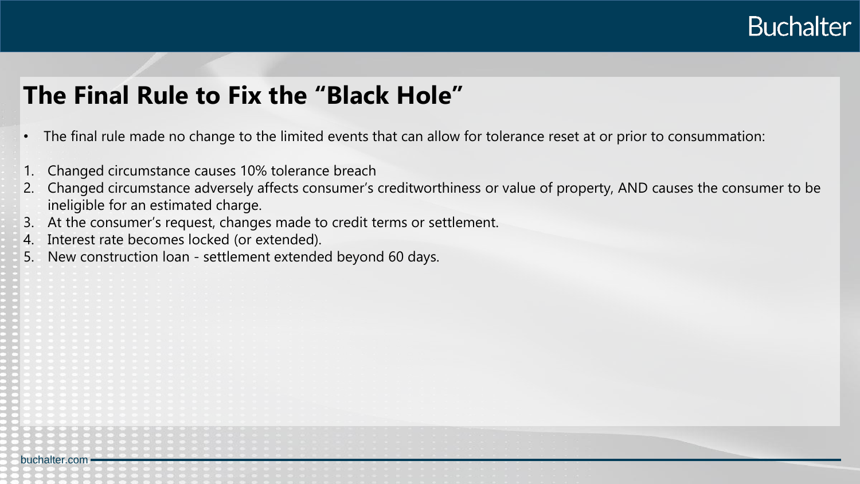

#### **The Final Rule to Fix the "Black Hole"**

- The final rule made no change to the limited events that can allow for tolerance reset at or prior to consummation:
- Changed circumstance causes 10% tolerance breach
- 2. Changed circumstance adversely affects consumer's creditworthiness or value of property, AND causes the consumer to be ineligible for an estimated charge.
- 3. At the consumer's request, changes made to credit terms or settlement.
- 4. Interest rate becomes locked (or extended).

buchalter.com

5. New construction loan - settlement extended beyond 60 days.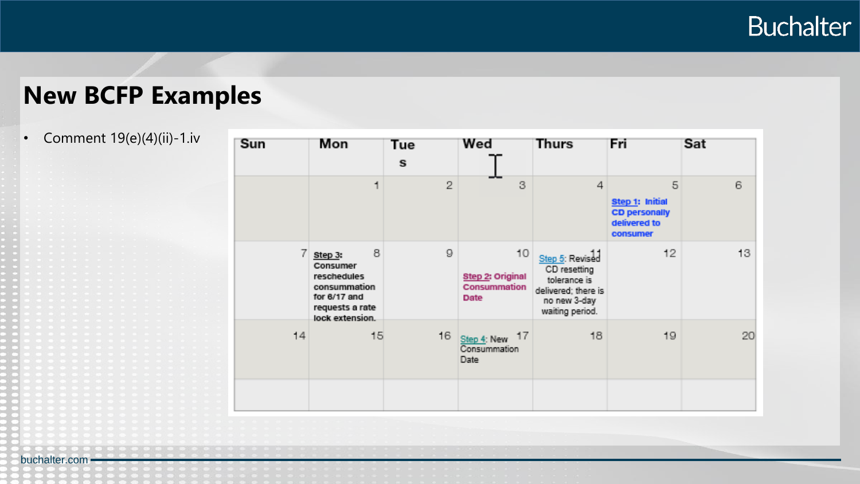### **New BCFP Examples**

#### • Comment 19(e)(4)(ii)-1.iv

| Sun            | Mon                                                                                                                         | <b>Tue</b><br>S. | Wed                                            | <b>Thurs</b>                                                                                              | Frii                                                                     | Sat             |
|----------------|-----------------------------------------------------------------------------------------------------------------------------|------------------|------------------------------------------------|-----------------------------------------------------------------------------------------------------------|--------------------------------------------------------------------------|-----------------|
|                | 4                                                                                                                           | $\bar{Z}$        | 3                                              | 4                                                                                                         | 5<br>Step 1: Initial<br><b>CD personally</b><br>delivered to<br>consumer | 6               |
| $\overline{f}$ | 8<br>Step 3:<br><b>Consumer</b><br><b>reschedules</b><br>consummation<br>for 6/17 and<br>requests a rate<br>lock extension. | $\mathbb{S}$     | 10<br>Step 2: Original<br>Consummation<br>Date | Step 5: Revised<br>CD resetting<br>tolerance is<br>delivered; there is<br>no new 3-day<br>waiting period. | 12                                                                       | 13 <sub>1</sub> |
| 14             | 15                                                                                                                          | $16 -$           | Step 4: New 17<br>Consummation<br>Date:        | 18                                                                                                        | 19                                                                       | 20              |
|                |                                                                                                                             |                  |                                                |                                                                                                           |                                                                          |                 |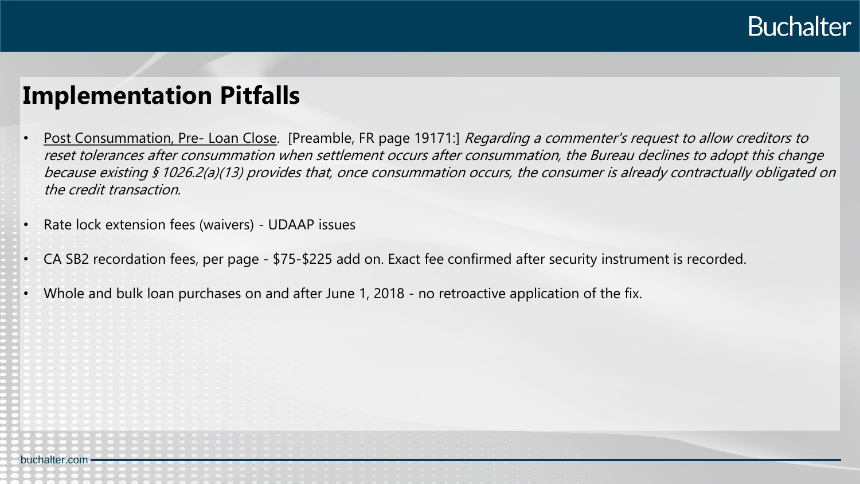

#### **Implementation Pitfalls**

- Post Consummation, Pre- Loan Close. [Preamble, FR page 19171:] Regarding a commenter's request to allow creditors to reset tolerances after consummation when settlement occurs after consummation, the Bureau declines to adopt this change because existing § 1026.2(a)(13) provides that, once consummation occurs, the consumer is already contractually obligated on the credit transaction.
- Rate lock extension fees (waivers) UDAAP issues
- CA SB2 recordation fees, per page \$75-\$225 add on. Exact fee confirmed after security instrument is recorded.
- Whole and bulk loan purchases on and after June 1, 2018 no retroactive application of the fix.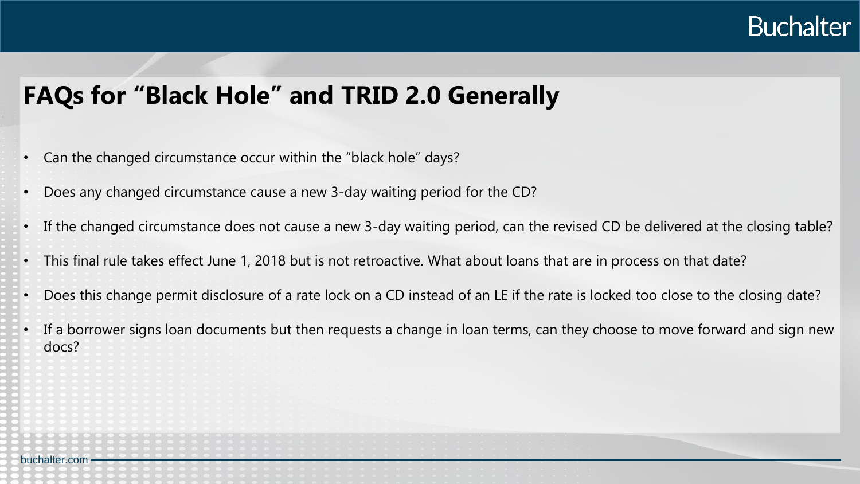

#### **FAQs for "Black Hole" and TRID 2.0 Generally**

- Can the changed circumstance occur within the "black hole" days?
- Does any changed circumstance cause a new 3-day waiting period for the CD?
- If the changed circumstance does not cause a new 3-day waiting period, can the revised CD be delivered at the closing table?
- This final rule takes effect June 1, 2018 but is not retroactive. What about loans that are in process on that date?
- Does this change permit disclosure of a rate lock on a CD instead of an LE if the rate is locked too close to the closing date?
- If a borrower signs loan documents but then requests a change in loan terms, can they choose to move forward and sign new docs?